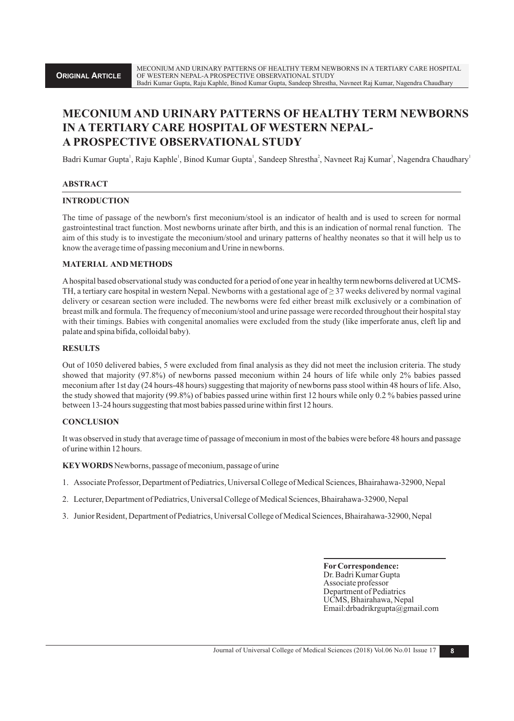# **MECONIUM AND URINARY PATTERNS OF HEALTHY TERM NEWBORNS IN A TERTIARY CARE HOSPITAL OF WESTERN NEPAL-A PROSPECTIVE OBSERVATIONAL STUDY**

Badri Kumar Gupta<sup>'</sup>, Raju Kaphle<sup>'</sup>, Binod Kumar Gupta<sup>'</sup>, Sandeep Shrestha<sup>2</sup>, Navneet Raj Kumar<sup>3</sup>, Nagendra Chaudhary<sup>1</sup>

# **ABSTRACT**

#### **INTRODUCTION**

The time of passage of the newborn's first meconium/stool is an indicator of health and is used to screen for normal gastrointestinal tract function. Most newborns urinate after birth, and this is an indication of normal renal function. The aim of this study is to investigate the meconium/stool and urinary patterns of healthy neonates so that it will help us to know the average time of passing meconium and Urine in newborns.

## **MATERIAL AND METHODS**

Ahospital based observational study was conducted for a period of one year in healthy term newborns delivered at UCMS-TH, a tertiary care hospital in western Nepal. Newborns with a gestational age of  $\geq$  37 weeks delivered by normal vaginal with their timings. Babies with congenital anomalies were excluded from the study (like imperforate anus, cleft lip and palate and spina bifida, colloidal baby). delivery or cesarean section were included. The newborns were fed either breast milk exclusively or a combination of breast milk and formula. The frequency of meconium/stool and urine passage were recorded throughout their hospital stay

#### **RESULTS**

Out of 1050 delivered babies, 5 were excluded from final analysis as they did not meet the inclusion criteria. The study showed that majority (97.8%) of newborns passed meconium within 24 hours of life while only 2% babies passed meconium after 1st day (24 hours-48 hours) suggesting that majority of newborns pass stool within 48 hours of life. Also, the study showed that majority (99.8%) of babies passed urine within first 12 hours while only 0.2 % babies passed urine between 13-24 hours suggesting that most babies passed urine within first 12 hours.

# **CONCLUSION**

It was observed in study that average time of passage of meconium in most of the babies were before 48 hours and passage of urine within 12 hours.

**KEYWORDS** Newborns, passage of meconium, passage of urine

- 1. Associate Professor, Department of Pediatrics, Universal College of Medical Sciences, Bhairahawa-32900, Nepal
- 2. Lecturer, Department of Pediatrics, Universal College of Medical Sciences, Bhairahawa-32900, Nepal
- 3. Junior Resident, Department of Pediatrics, Universal College of Medical Sciences, Bhairahawa-32900, Nepal

 **ForCorrespondence:** Dr. Badri Kumar Gupta Associate professor Department of Pediatrics UCMS, Bhairahawa, Nepal Email:drbadrikrgupta@gmail.com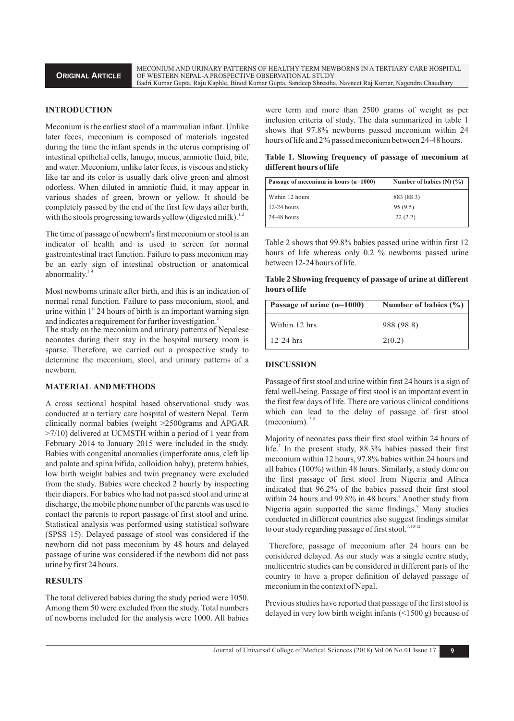MECONIUM AND URINARY PATTERNS OF HEALTHY TERM NEWBORNS IN A TERTIARY CARE HOSPITAL OF WESTERN NEPAL-A PROSPECTIVE OBSERVATIONAL STUDY Badri Kumar Gupta, Raju Kaphle, Binod Kumar Gupta, Sandeep Shrestha, Navneet Raj Kumar, Nagendra Chaudhary

#### **INTRODUCTION**

Meconium is the earliest stool of a mammalian infant. Unlike later feces, meconium is composed of materials ingested during the time the infant spends in the uterus comprising of intestinal epithelial cells, lanugo, mucus, amniotic fluid, bile, and water. Meconium, unlike later feces, is viscous and sticky like tar and its color is usually dark olive green and almost odorless. When diluted in amniotic fluid, it may appear in various shades of green, brown or yellow. It should be completely passed by the end of the first few days after birth, with the stools progressing towards yellow (digested milk).<sup>1</sup>

The time of passage of newborn's first meconium or stool is an indicator of health and is used to screen for normal gastrointestinal tract function. Failure to pass meconium may be an early sign of intestinal obstruction or anatomical abnormality.<sup>3,4</sup>

Most newborns urinate after birth, and this is an indication of normal renal function. Failure to pass meconium, stool, and urine within  $1<sup>st</sup> 24$  hours of birth is an important warning sign and indicates a requirement for further investigation.<sup>5</sup>

The study on the meconium and urinary patterns of Nepalese neonates during their stay in the hospital nursery room is sparse. Therefore, we carried out a prospective study to determine the meconium, stool, and urinary patterns of a newborn.

# **MATERIAL AND METHODS**

A cross sectional hospital based observational study was conducted at a tertiary care hospital of western Nepal. Term clinically normal babies (weight >2500grams and APGAR >7/10) delivered at UCMSTH within a period of 1 year from February 2014 to January 2015 were included in the study. Babies with congenital anomalies (imperforate anus, cleft lip and palate and spina bifida, colloidion baby), preterm babies, low birth weight babies and twin pregnancy were excluded from the study. Babies were checked 2 hourly by inspecting their diapers. For babies who had not passed stool and urine at discharge, the mobile phone number of the parents was used to contact the parents to report passage of first stool and urine. Statistical analysis was performed using statistical software (SPSS 15). Delayed passage of stool was considered if the newborn did not pass meconium by 48 hours and delayed passage of urine was considered if the newborn did not pass urine by first 24 hours.

#### **RESULTS**

The total delivered babies during the study period were 1050. Among them 50 were excluded from the study. Total numbers of newborns included for the analysis were 1000. All babies were term and more than 2500 grams of weight as per inclusion criteria of study. The data summarized in table 1 shows that 97.8% newborns passed meconium within 24 hours of life and 2% passed meconium between 24-48 hours.

**Table 1. Showing frequency of passage of meconium at different hours of life**

| Passage of meconium in hours (n=1000) | Number of babies $(N)$ $(\frac{9}{6})$ |
|---------------------------------------|----------------------------------------|
| Within 12 hours                       | 883 (88.3)                             |
| $12-24$ hours                         | 95(9.5)                                |
| 24-48 hours                           | 22(2.2)                                |

Table 2 shows that 99.8% babies passed urine within first 12 hours of life whereas only 0.2 % newborns passed urine between 12-24 hours of life.

**Table 2 Showing frequency of passage of urine at different hours of life**

| Passage of urine (n=1000) | Number of babies $(\% )$ |
|---------------------------|--------------------------|
| Within 12 hrs             | 988 (98.8)               |
| $12-24$ hrs               | 2(0.2)                   |

#### **DISCUSSION**

Passage of first stool and urine within first 24 hours is a sign of fetal well-being. Passage of first stool is an important event in the first few days of life. There are various clinical conditions which can lead to the delay of passage of first stool (meconium).  $3,6$ 

Majority of neonates pass their first stool within 24 hours of life.<sup>7</sup> In the present study, 88.3% babies passed their first meconium within 12 hours, 97.8% babies within 24 hours and all babies (100%) within 48 hours. Similarly, a study done on the first passage of first stool from Nigeria and Africa indicated that 96.2% of the babies passed their first stool within 24 hours and 99.8% in 48 hours.<sup>8</sup> Another study from Nigeria again supported the same findings.<sup>9</sup> Many studies conducted in different countries also suggest findings similar to our study regarding passage of first stool.<sup>7, 10-12</sup>

Therefore, passage of meconium after 24 hours can be considered delayed. As our study was a single centre study, multicentric studies can be considered in different parts of the country to have a proper definition of delayed passage of meconium in the context of Nepal.

Previous studies have reported that passage of the first stool is delayed in very low birth weight infants (<1500 g) because of